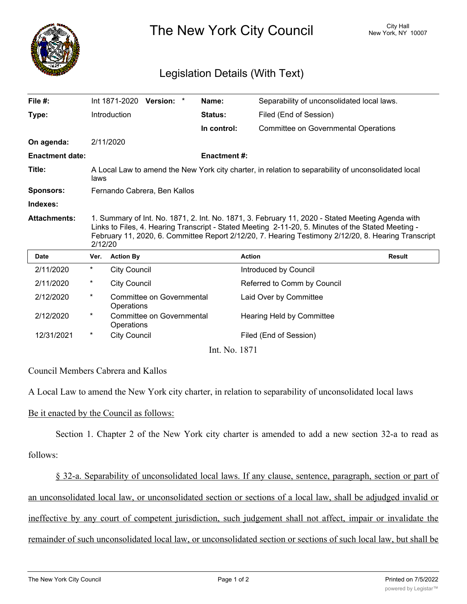

The New York City Council New York, NY 10007

## Legislation Details (With Text)

| File $#$ :             |                                                                                                                                                                                                                                                                                                                          |                     | Int 1871-2020 Version: *  |  | Name:              | Separability of unconsolidated local laws.  |               |
|------------------------|--------------------------------------------------------------------------------------------------------------------------------------------------------------------------------------------------------------------------------------------------------------------------------------------------------------------------|---------------------|---------------------------|--|--------------------|---------------------------------------------|---------------|
| Type:                  |                                                                                                                                                                                                                                                                                                                          | Introduction        |                           |  | Status:            | Filed (End of Session)                      |               |
|                        |                                                                                                                                                                                                                                                                                                                          |                     |                           |  | In control:        | <b>Committee on Governmental Operations</b> |               |
| On agenda:             |                                                                                                                                                                                                                                                                                                                          | 2/11/2020           |                           |  |                    |                                             |               |
| <b>Enactment date:</b> |                                                                                                                                                                                                                                                                                                                          |                     |                           |  | <b>Enactment#:</b> |                                             |               |
| Title:                 | A Local Law to amend the New York city charter, in relation to separability of unconsolidated local<br>laws                                                                                                                                                                                                              |                     |                           |  |                    |                                             |               |
| <b>Sponsors:</b>       | Fernando Cabrera, Ben Kallos                                                                                                                                                                                                                                                                                             |                     |                           |  |                    |                                             |               |
| Indexes:               |                                                                                                                                                                                                                                                                                                                          |                     |                           |  |                    |                                             |               |
| <b>Attachments:</b>    | 1. Summary of Int. No. 1871, 2. Int. No. 1871, 3. February 11, 2020 - Stated Meeting Agenda with<br>Links to Files, 4. Hearing Transcript - Stated Meeting 2-11-20, 5. Minutes of the Stated Meeting -<br>February 11, 2020, 6. Committee Report 2/12/20, 7. Hearing Testimony 2/12/20, 8. Hearing Transcript<br>2/12/20 |                     |                           |  |                    |                                             |               |
|                        |                                                                                                                                                                                                                                                                                                                          |                     |                           |  |                    |                                             |               |
| <b>Date</b>            | Ver.                                                                                                                                                                                                                                                                                                                     | <b>Action By</b>    |                           |  |                    | <b>Action</b>                               | <b>Result</b> |
| 2/11/2020              | $^{\star}$                                                                                                                                                                                                                                                                                                               | City Council        |                           |  |                    | Introduced by Council                       |               |
| 2/11/2020              | $^\star$                                                                                                                                                                                                                                                                                                                 | <b>City Council</b> |                           |  |                    | Referred to Comm by Council                 |               |
| 2/12/2020              | $^\star$                                                                                                                                                                                                                                                                                                                 | Operations          | Committee on Governmental |  |                    | Laid Over by Committee                      |               |
| 2/12/2020              | $^\star$                                                                                                                                                                                                                                                                                                                 | Operations          | Committee on Governmental |  |                    | Hearing Held by Committee                   |               |
| 12/31/2021             | $^\star$                                                                                                                                                                                                                                                                                                                 | <b>City Council</b> |                           |  |                    | Filed (End of Session)                      |               |

Council Members Cabrera and Kallos

A Local Law to amend the New York city charter, in relation to separability of unconsolidated local laws

## Be it enacted by the Council as follows:

Section 1. Chapter 2 of the New York city charter is amended to add a new section 32-a to read as follows:

§ 32-a. Separability of unconsolidated local laws. If any clause, sentence, paragraph, section or part of an unconsolidated local law, or unconsolidated section or sections of a local law, shall be adjudged invalid or ineffective by any court of competent jurisdiction, such judgement shall not affect, impair or invalidate the remainder of such unconsolidated local law, or unconsolidated section or sections of such local law, but shall be